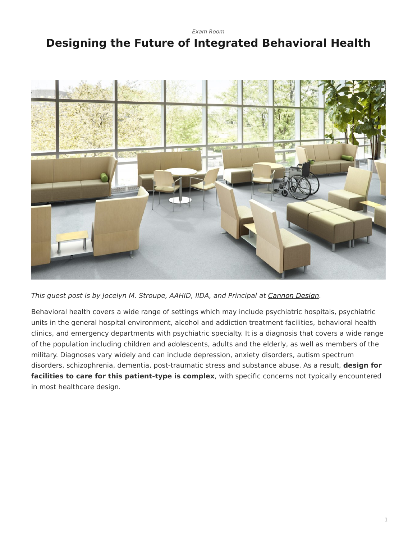*[Exam Room](https://www.steelcase.com/research/topics/medical-exam-room/)*

## <span id="page-0-0"></span>**Designing the Future of Integrated Behavioral Health**



*This guest post is by Jocelyn M. Stroupe, AAHID, IIDA, and Principal at [Cannon Design.](http://cannondesign.com/)*

Behavioral health covers a wide range of settings which may include psychiatric hospitals, psychiatric units in the general hospital environment, alcohol and addiction treatment facilities, behavioral health clinics, and emergency departments with psychiatric specialty. It is a diagnosis that covers a wide range of the population including children and adolescents, adults and the elderly, as well as members of the military. Diagnoses vary widely and can include depression, anxiety disorders, autism spectrum disorders, schizophrenia, dementia, post-traumatic stress and substance abuse. As a result, **design for facilities to care for this patient-type is complex**, with specific concerns not typically encountered in most healthcare design.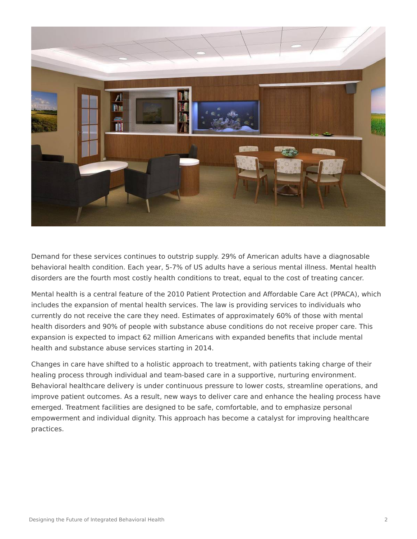

Demand for these services continues to outstrip supply. 29% of American adults have a diagnosable behavioral health condition. Each year, 5-7% of US adults have a serious mental illness. Mental health disorders are the fourth most costly health conditions to treat, equal to the cost of treating cancer.

Mental health is a central feature of the 2010 Patient Protection and Affordable Care Act (PPACA), which includes the expansion of mental health services. The law is providing services to individuals who currently do not receive the care they need. Estimates of approximately 60% of those with mental health disorders and 90% of people with substance abuse conditions do not receive proper care. This expansion is expected to impact 62 million Americans with expanded benefits that include mental health and substance abuse services starting in 2014.

Changes in care have shifted to a holistic approach to treatment, with patients taking charge of their healing process through individual and team-based care in a supportive, nurturing environment. Behavioral healthcare delivery is under continuous pressure to lower costs, streamline operations, and improve patient outcomes. As a result, new ways to deliver care and enhance the healing process have emerged. Treatment facilities are designed to be safe, comfortable, and to emphasize personal empowerment and individual dignity. This approach has become a catalyst for improving healthcare practices.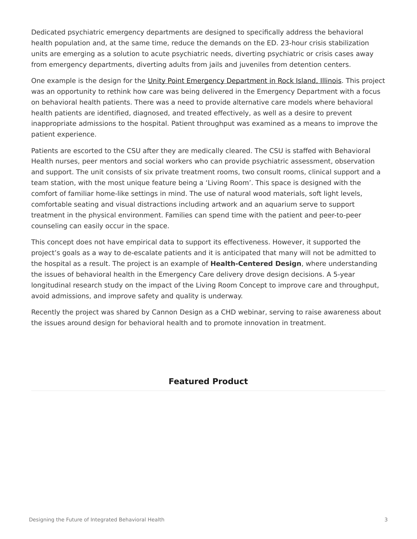Dedicated psychiatric emergency departments are designed to specifically address the behavioral health population and, at the same time, reduce the demands on the ED. 23-hour crisis stabilization units are emerging as a solution to acute psychiatric needs, diverting psychiatric or crisis cases away from emergency departments, diverting adults from jails and juveniles from detention centers.

One example is the design for the [Unity Point Emergency Department in Rock Island, Illinois.](https://www.unitypoint.org/quadcities/trinity-rock-island.aspx) This project was an opportunity to rethink how care was being delivered in the Emergency Department with a focus on behavioral health patients. There was a need to provide alternative care models where behavioral health patients are identified, diagnosed, and treated effectively, as well as a desire to prevent inappropriate admissions to the hospital. Patient throughput was examined as a means to improve the patient experience.

Patients are escorted to the CSU after they are medically cleared. The CSU is staffed with Behavioral Health nurses, peer mentors and social workers who can provide psychiatric assessment, observation and support. The unit consists of six private treatment rooms, two consult rooms, clinical support and a team station, with the most unique feature being a 'Living Room'. This space is designed with the comfort of familiar home-like settings in mind. The use of natural wood materials, soft light levels, comfortable seating and visual distractions including artwork and an aquarium serve to support treatment in the physical environment. Families can spend time with the patient and peer-to-peer counseling can easily occur in the space.

This concept does not have empirical data to support its effectiveness. However, it supported the project's goals as a way to de-escalate patients and it is anticipated that many will not be admitted to the hospital as a result. The project is an example of **Health-Centered Design**, where understanding the issues of behavioral health in the Emergency Care delivery drove design decisions. A 5-year longitudinal research study on the impact of the Living Room Concept to improve care and throughput, avoid admissions, and improve safety and quality is underway.

Recently the project was shared by Cannon Design as a CHD webinar, serving to raise awareness about the issues around design for behavioral health and to promote innovation in treatment.

## **Featured Product**